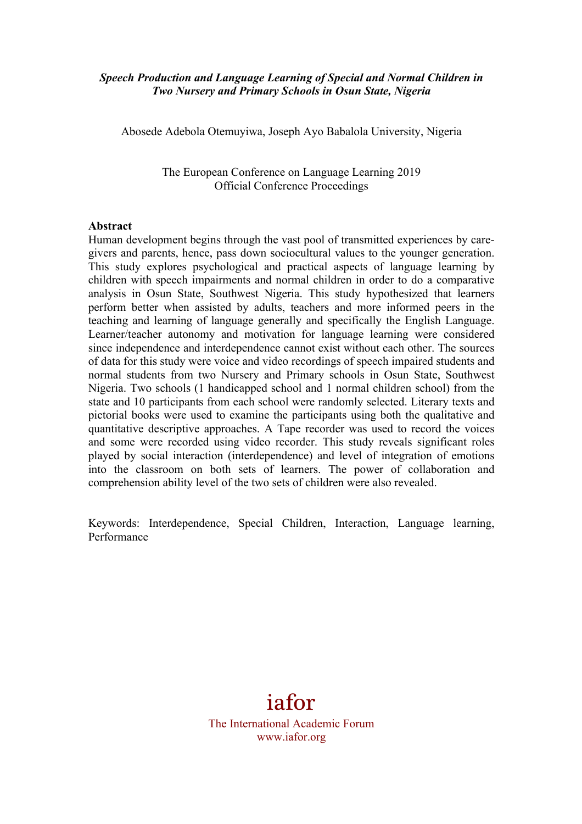# *Speech Production and Language Learning of Special and Normal Children in Two Nursery and Primary Schools in Osun State, Nigeria*

Abosede Adebola Otemuyiwa, Joseph Ayo Babalola University, Nigeria

The European Conference on Language Learning 2019 Official Conference Proceedings

#### **Abstract**

Human development begins through the vast pool of transmitted experiences by caregivers and parents, hence, pass down sociocultural values to the younger generation. This study explores psychological and practical aspects of language learning by children with speech impairments and normal children in order to do a comparative analysis in Osun State, Southwest Nigeria. This study hypothesized that learners perform better when assisted by adults, teachers and more informed peers in the teaching and learning of language generally and specifically the English Language. Learner/teacher autonomy and motivation for language learning were considered since independence and interdependence cannot exist without each other. The sources of data for this study were voice and video recordings of speech impaired students and normal students from two Nursery and Primary schools in Osun State, Southwest Nigeria. Two schools (1 handicapped school and 1 normal children school) from the state and 10 participants from each school were randomly selected. Literary texts and pictorial books were used to examine the participants using both the qualitative and quantitative descriptive approaches. A Tape recorder was used to record the voices and some were recorded using video recorder. This study reveals significant roles played by social interaction (interdependence) and level of integration of emotions into the classroom on both sets of learners. The power of collaboration and comprehension ability level of the two sets of children were also revealed.

Keywords: Interdependence, Special Children, Interaction, Language learning, Performance

# iafor

The International Academic Forum www.iafor.org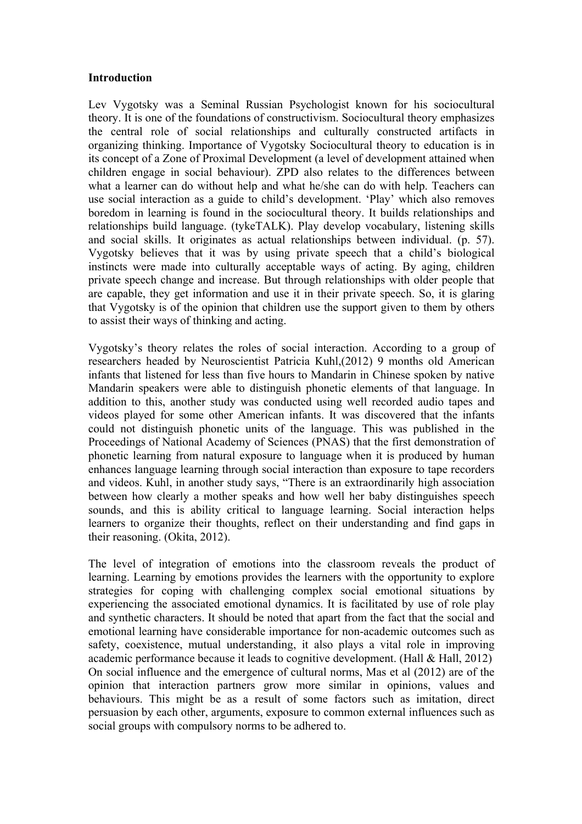### **Introduction**

Lev Vygotsky was a Seminal Russian Psychologist known for his sociocultural theory. It is one of the foundations of constructivism. Sociocultural theory emphasizes the central role of social relationships and culturally constructed artifacts in organizing thinking. Importance of Vygotsky Sociocultural theory to education is in its concept of a Zone of Proximal Development (a level of development attained when children engage in social behaviour). ZPD also relates to the differences between what a learner can do without help and what he/she can do with help. Teachers can use social interaction as a guide to child's development. 'Play' which also removes boredom in learning is found in the sociocultural theory. It builds relationships and relationships build language. (tykeTALK). Play develop vocabulary, listening skills and social skills. It originates as actual relationships between individual. (p. 57). Vygotsky believes that it was by using private speech that a child's biological instincts were made into culturally acceptable ways of acting. By aging, children private speech change and increase. But through relationships with older people that are capable, they get information and use it in their private speech. So, it is glaring that Vygotsky is of the opinion that children use the support given to them by others to assist their ways of thinking and acting.

Vygotsky's theory relates the roles of social interaction. According to a group of researchers headed by Neuroscientist Patricia Kuhl,(2012) 9 months old American infants that listened for less than five hours to Mandarin in Chinese spoken by native Mandarin speakers were able to distinguish phonetic elements of that language. In addition to this, another study was conducted using well recorded audio tapes and videos played for some other American infants. It was discovered that the infants could not distinguish phonetic units of the language. This was published in the Proceedings of National Academy of Sciences (PNAS) that the first demonstration of phonetic learning from natural exposure to language when it is produced by human enhances language learning through social interaction than exposure to tape recorders and videos. Kuhl, in another study says, "There is an extraordinarily high association between how clearly a mother speaks and how well her baby distinguishes speech sounds, and this is ability critical to language learning. Social interaction helps learners to organize their thoughts, reflect on their understanding and find gaps in their reasoning. (Okita, 2012).

The level of integration of emotions into the classroom reveals the product of learning. Learning by emotions provides the learners with the opportunity to explore strategies for coping with challenging complex social emotional situations by experiencing the associated emotional dynamics. It is facilitated by use of role play and synthetic characters. It should be noted that apart from the fact that the social and emotional learning have considerable importance for non-academic outcomes such as safety, coexistence, mutual understanding, it also plays a vital role in improving academic performance because it leads to cognitive development. (Hall & Hall, 2012) On social influence and the emergence of cultural norms, Mas et al (2012) are of the opinion that interaction partners grow more similar in opinions, values and behaviours. This might be as a result of some factors such as imitation, direct persuasion by each other, arguments, exposure to common external influences such as social groups with compulsory norms to be adhered to.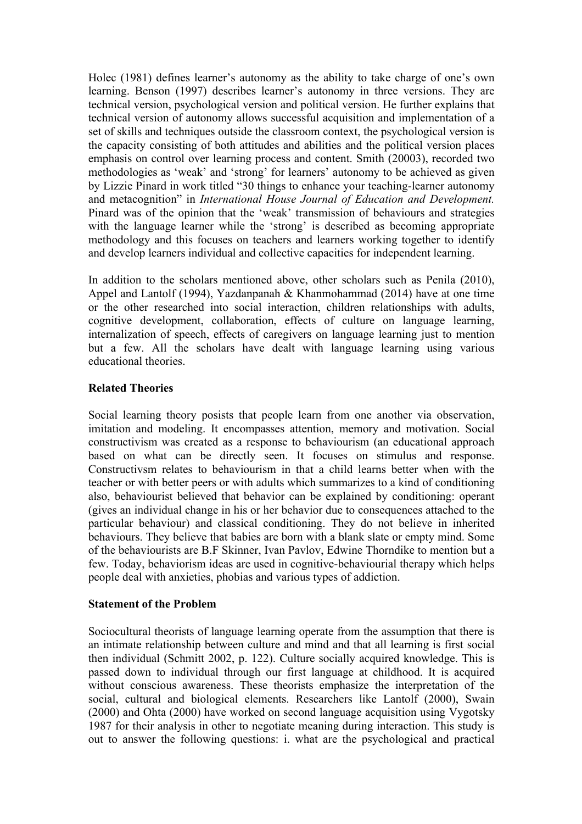Holec (1981) defines learner's autonomy as the ability to take charge of one's own learning. Benson (1997) describes learner's autonomy in three versions. They are technical version, psychological version and political version. He further explains that technical version of autonomy allows successful acquisition and implementation of a set of skills and techniques outside the classroom context, the psychological version is the capacity consisting of both attitudes and abilities and the political version places emphasis on control over learning process and content. Smith (20003), recorded two methodologies as 'weak' and 'strong' for learners' autonomy to be achieved as given by Lizzie Pinard in work titled "30 things to enhance your teaching-learner autonomy and metacognition" in *International House Journal of Education and Development.*  Pinard was of the opinion that the 'weak' transmission of behaviours and strategies with the language learner while the 'strong' is described as becoming appropriate methodology and this focuses on teachers and learners working together to identify and develop learners individual and collective capacities for independent learning.

In addition to the scholars mentioned above, other scholars such as Penila (2010), Appel and Lantolf (1994), Yazdanpanah & Khanmohammad (2014) have at one time or the other researched into social interaction, children relationships with adults, cognitive development, collaboration, effects of culture on language learning, internalization of speech, effects of caregivers on language learning just to mention but a few. All the scholars have dealt with language learning using various educational theories.

# **Related Theories**

Social learning theory posists that people learn from one another via observation, imitation and modeling. It encompasses attention, memory and motivation. Social constructivism was created as a response to behaviourism (an educational approach based on what can be directly seen. It focuses on stimulus and response. Constructivsm relates to behaviourism in that a child learns better when with the teacher or with better peers or with adults which summarizes to a kind of conditioning also, behaviourist believed that behavior can be explained by conditioning: operant (gives an individual change in his or her behavior due to consequences attached to the particular behaviour) and classical conditioning. They do not believe in inherited behaviours. They believe that babies are born with a blank slate or empty mind. Some of the behaviourists are B.F Skinner, Ivan Pavlov, Edwine Thorndike to mention but a few. Today, behaviorism ideas are used in cognitive-behaviourial therapy which helps people deal with anxieties, phobias and various types of addiction.

# **Statement of the Problem**

Sociocultural theorists of language learning operate from the assumption that there is an intimate relationship between culture and mind and that all learning is first social then individual (Schmitt 2002, p. 122). Culture socially acquired knowledge. This is passed down to individual through our first language at childhood. It is acquired without conscious awareness. These theorists emphasize the interpretation of the social, cultural and biological elements. Researchers like Lantolf (2000), Swain (2000) and Ohta (2000) have worked on second language acquisition using Vygotsky 1987 for their analysis in other to negotiate meaning during interaction. This study is out to answer the following questions: i. what are the psychological and practical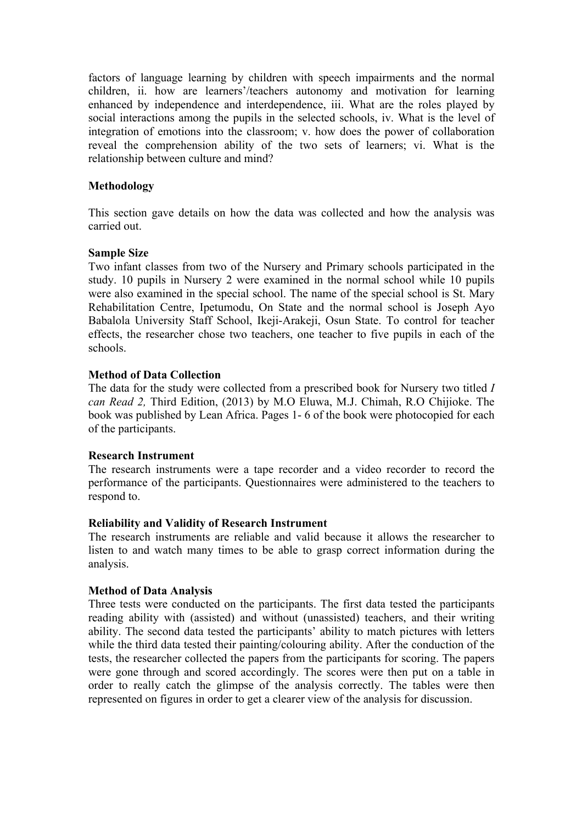factors of language learning by children with speech impairments and the normal children, ii. how are learners'/teachers autonomy and motivation for learning enhanced by independence and interdependence, iii. What are the roles played by social interactions among the pupils in the selected schools, iv. What is the level of integration of emotions into the classroom; v. how does the power of collaboration reveal the comprehension ability of the two sets of learners; vi. What is the relationship between culture and mind?

# **Methodology**

This section gave details on how the data was collected and how the analysis was carried out.

### **Sample Size**

Two infant classes from two of the Nursery and Primary schools participated in the study. 10 pupils in Nursery 2 were examined in the normal school while 10 pupils were also examined in the special school. The name of the special school is St. Mary Rehabilitation Centre, Ipetumodu, On State and the normal school is Joseph Ayo Babalola University Staff School, Ikeji-Arakeji, Osun State. To control for teacher effects, the researcher chose two teachers, one teacher to five pupils in each of the schools.

# **Method of Data Collection**

The data for the study were collected from a prescribed book for Nursery two titled *I can Read 2,* Third Edition, (2013) by M.O Eluwa, M.J. Chimah, R.O Chijioke. The book was published by Lean Africa. Pages 1- 6 of the book were photocopied for each of the participants.

### **Research Instrument**

The research instruments were a tape recorder and a video recorder to record the performance of the participants. Questionnaires were administered to the teachers to respond to.

### **Reliability and Validity of Research Instrument**

The research instruments are reliable and valid because it allows the researcher to listen to and watch many times to be able to grasp correct information during the analysis.

### **Method of Data Analysis**

Three tests were conducted on the participants. The first data tested the participants reading ability with (assisted) and without (unassisted) teachers, and their writing ability. The second data tested the participants' ability to match pictures with letters while the third data tested their painting/colouring ability. After the conduction of the tests, the researcher collected the papers from the participants for scoring. The papers were gone through and scored accordingly. The scores were then put on a table in order to really catch the glimpse of the analysis correctly. The tables were then represented on figures in order to get a clearer view of the analysis for discussion.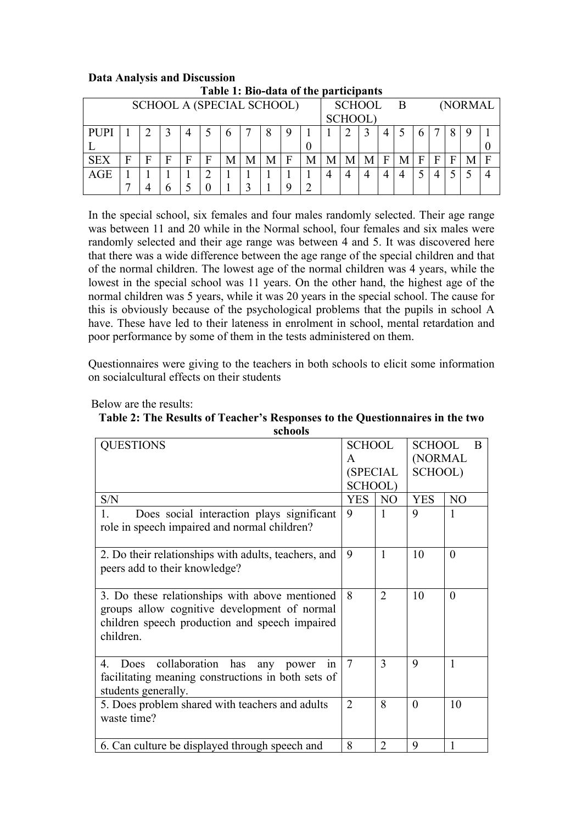| Table 1, Dio-gata of the participants |   |  |   |                |   |   |   |   |          |                 |   |   |          |                |   |   |   |  |   |  |
|---------------------------------------|---|--|---|----------------|---|---|---|---|----------|-----------------|---|---|----------|----------------|---|---|---|--|---|--|
| <b>SCHOOL A (SPECIAL SCHOOL)</b>      |   |  |   |                |   |   |   |   | SCHOOL B |                 |   |   | (NORMAL) |                |   |   |   |  |   |  |
|                                       |   |  |   |                |   |   |   |   |          | <b>SCHOOL</b> ) |   |   |          |                |   |   |   |  |   |  |
| <b>PUPI</b>                           |   |  |   | $\overline{4}$ |   | 6 |   |   | 9        |                 |   |   |          | $\overline{4}$ |   | h |   |  | 9 |  |
|                                       |   |  |   |                |   |   |   |   |          | U               |   |   |          |                |   |   |   |  |   |  |
| <b>SEX</b>                            | F |  | F | F              | F | М | М | M | F        | M               | M | М | M        | F              | M | F | F |  |   |  |
| <b>AGE</b>                            |   |  |   |                | ◠ |   |   |   |          |                 |   | 4 |          | 4              |   |   |   |  |   |  |
|                                       |   |  |   |                |   |   |   |   |          | ◠               |   |   |          |                |   |   |   |  |   |  |

#### **Data Analysis and Discussion Table 1: Bio-data of the participants**

In the special school, six females and four males randomly selected. Their age range was between 11 and 20 while in the Normal school, four females and six males were randomly selected and their age range was between 4 and 5. It was discovered here that there was a wide difference between the age range of the special children and that of the normal children. The lowest age of the normal children was 4 years, while the lowest in the special school was 11 years. On the other hand, the highest age of the normal children was 5 years, while it was 20 years in the special school. The cause for this is obviously because of the psychological problems that the pupils in school A have. These have led to their lateness in enrolment in school, mental retardation and poor performance by some of them in the tests administered on them.

Questionnaires were giving to the teachers in both schools to elicit some information on socialcultural effects on their students

| <b>QUESTIONS</b>                                                                                                                                              | <b>SCHOOL</b><br>A<br>(SPECIAL<br><b>SCHOOL)</b> |                | <b>SCHOOL</b><br>B<br>(NORMAL<br>SCHOOL) |                |  |  |  |  |  |  |
|---------------------------------------------------------------------------------------------------------------------------------------------------------------|--------------------------------------------------|----------------|------------------------------------------|----------------|--|--|--|--|--|--|
| S/N                                                                                                                                                           | <b>YES</b>                                       | NO.            | <b>YES</b>                               | N <sub>O</sub> |  |  |  |  |  |  |
| Does social interaction plays significant<br>$\mathbf{1}$ .<br>role in speech impaired and normal children?                                                   | 9                                                |                | 9                                        | 1              |  |  |  |  |  |  |
| 2. Do their relationships with adults, teachers, and<br>peers add to their knowledge?                                                                         | 9                                                | $\mathbf{1}$   | 10                                       | $\theta$       |  |  |  |  |  |  |
| 3. Do these relationships with above mentioned<br>groups allow cognitive development of normal<br>children speech production and speech impaired<br>children. | 8                                                | $\overline{2}$ | 10                                       | $\theta$       |  |  |  |  |  |  |
| collaboration<br>has<br>4.<br>Does<br>any<br>power<br>1n<br>facilitating meaning constructions in both sets of<br>students generally.                         | $\overline{7}$                                   | 3              | 9                                        | $\mathbf{1}$   |  |  |  |  |  |  |
| 5. Does problem shared with teachers and adults<br>waste time?                                                                                                | $\overline{2}$                                   | 8              | $\theta$                                 | 10             |  |  |  |  |  |  |
| 6. Can culture be displayed through speech and                                                                                                                | 8                                                | $\overline{2}$ | 9                                        | 1              |  |  |  |  |  |  |

Below are the results:

**Table 2: The Results of Teacher's Responses to the Questionnaires in the two schools**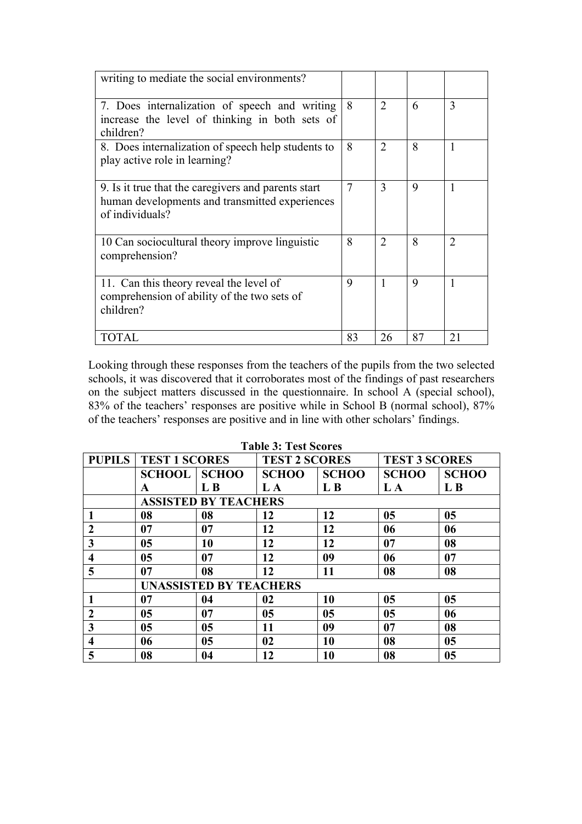| writing to mediate the social environments?                                                                              |                |                |             |                |
|--------------------------------------------------------------------------------------------------------------------------|----------------|----------------|-------------|----------------|
| 7. Does internalization of speech and writing<br>increase the level of thinking in both sets of<br>children?             | 8              | 2              | 6           | 3              |
| 8. Does internalization of speech help students to<br>play active role in learning?                                      | 8              | $\overline{2}$ | 8           | 1              |
| 9. Is it true that the caregivers and parents start<br>human developments and transmitted experiences<br>of individuals? | $\overline{7}$ | 3              | 9           | 1              |
| 10 Can sociocultural theory improve linguistic<br>comprehension?                                                         | 8              | $\mathcal{L}$  | 8           | $\mathfrak{D}$ |
| 11. Can this theory reveal the level of<br>comprehension of ability of the two sets of<br>children?                      | 9              |                | $\mathbf Q$ | 1              |
| TOTAL                                                                                                                    | 83             | 26             | 87          | 21             |

Looking through these responses from the teachers of the pupils from the two selected schools, it was discovered that it corroborates most of the findings of past researchers on the subject matters discussed in the questionnaire. In school A (special school), 83% of the teachers' responses are positive while in School B (normal school), 87% of the teachers' responses are positive and in line with other scholars' findings.

| <b>PUPILS</b>                 |                |                                             |              | <b>TEST 3 SCORES</b> |              |  |  |  |  |  |  |  |
|-------------------------------|----------------|---------------------------------------------|--------------|----------------------|--------------|--|--|--|--|--|--|--|
|                               |                | <b>SCHOO</b>                                | <b>SCHOO</b> | <b>SCHOO</b>         | <b>SCHOO</b> |  |  |  |  |  |  |  |
| A                             | L <sub>B</sub> | L A                                         | L B          | L A                  | L B          |  |  |  |  |  |  |  |
| <b>ASSISTED BY TEACHERS</b>   |                |                                             |              |                      |              |  |  |  |  |  |  |  |
| 08                            | 08             | 12                                          | 12           | 05                   | 05           |  |  |  |  |  |  |  |
| 07                            | 07             | 12                                          | 12           | 06                   | 06           |  |  |  |  |  |  |  |
| 05                            | 10             | 12                                          | 12           | 07                   | 08           |  |  |  |  |  |  |  |
| 0 <sub>5</sub>                | 07             | 12                                          | 09           | 06                   | 07           |  |  |  |  |  |  |  |
| 07                            | 08             | 12                                          | 11           | 08                   | 08           |  |  |  |  |  |  |  |
| <b>UNASSISTED BY TEACHERS</b> |                |                                             |              |                      |              |  |  |  |  |  |  |  |
| 07                            | 04             | 02                                          | 10           | 05                   | 05           |  |  |  |  |  |  |  |
| 05                            | 07             | 05                                          | 05           | 0 <sub>5</sub>       | 06           |  |  |  |  |  |  |  |
| 05                            | 05             | 11                                          | 09           | 07                   | 08           |  |  |  |  |  |  |  |
| 06                            | 05             | 02                                          | 10           | 08                   | 05           |  |  |  |  |  |  |  |
| 08                            | 04             | 12                                          | 10           | 08                   | 05           |  |  |  |  |  |  |  |
|                               |                | <b>TEST 1 SCORES</b><br><b>SCHOOL SCHOO</b> |              | <b>TEST 2 SCORES</b> |              |  |  |  |  |  |  |  |

**Table 3: Test Scores**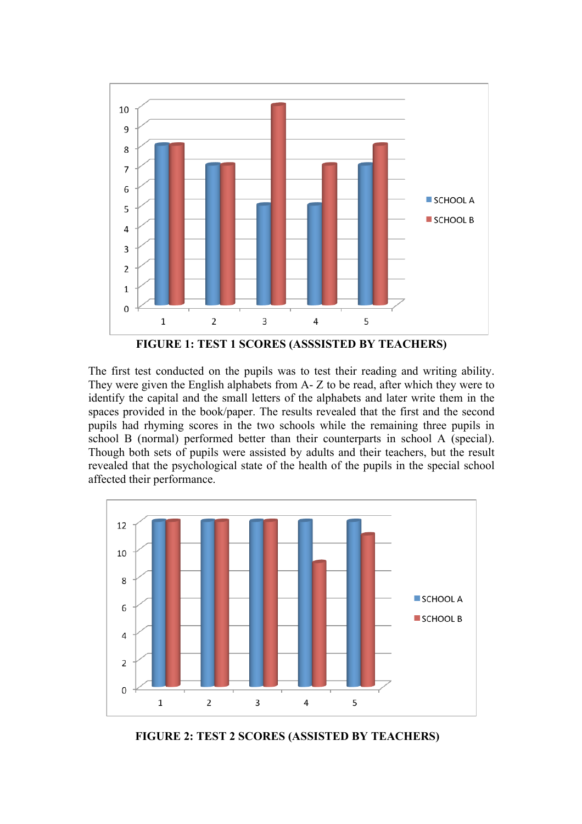

**FIGURE 1: TEST 1 SCORES (ASSSISTED BY TEACHERS)**

The first test conducted on the pupils was to test their reading and writing ability. They were given the English alphabets from A- Z to be read, after which they were to identify the capital and the small letters of the alphabets and later write them in the spaces provided in the book/paper. The results revealed that the first and the second pupils had rhyming scores in the two schools while the remaining three pupils in school B (normal) performed better than their counterparts in school A (special). Though both sets of pupils were assisted by adults and their teachers, but the result revealed that the psychological state of the health of the pupils in the special school affected their performance.



 **FIGURE 2: TEST 2 SCORES (ASSISTED BY TEACHERS)**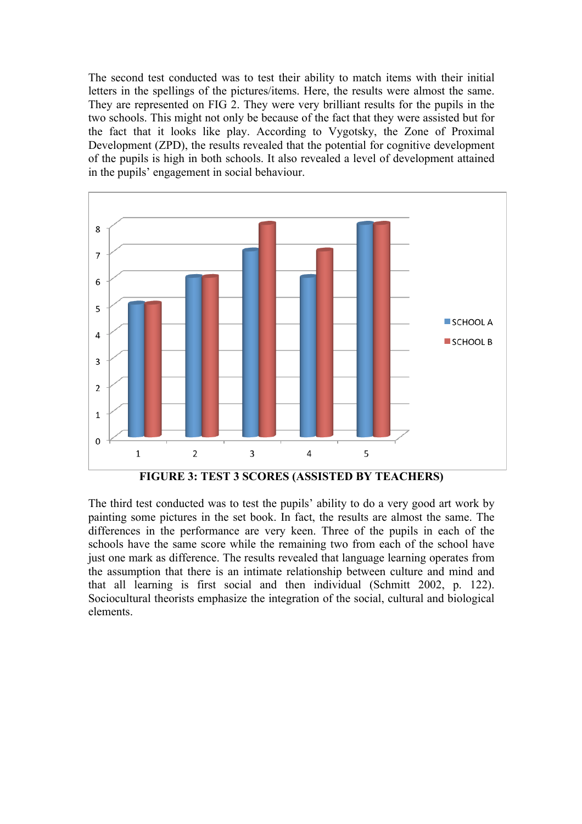The second test conducted was to test their ability to match items with their initial letters in the spellings of the pictures/items. Here, the results were almost the same. They are represented on FIG 2. They were very brilliant results for the pupils in the two schools. This might not only be because of the fact that they were assisted but for the fact that it looks like play. According to Vygotsky, the Zone of Proximal Development (ZPD), the results revealed that the potential for cognitive development of the pupils is high in both schools. It also revealed a level of development attained in the pupils' engagement in social behaviour.



The third test conducted was to test the pupils' ability to do a very good art work by painting some pictures in the set book. In fact, the results are almost the same. The differences in the performance are very keen. Three of the pupils in each of the schools have the same score while the remaining two from each of the school have just one mark as difference. The results revealed that language learning operates from the assumption that there is an intimate relationship between culture and mind and that all learning is first social and then individual (Schmitt 2002, p. 122). Sociocultural theorists emphasize the integration of the social, cultural and biological elements.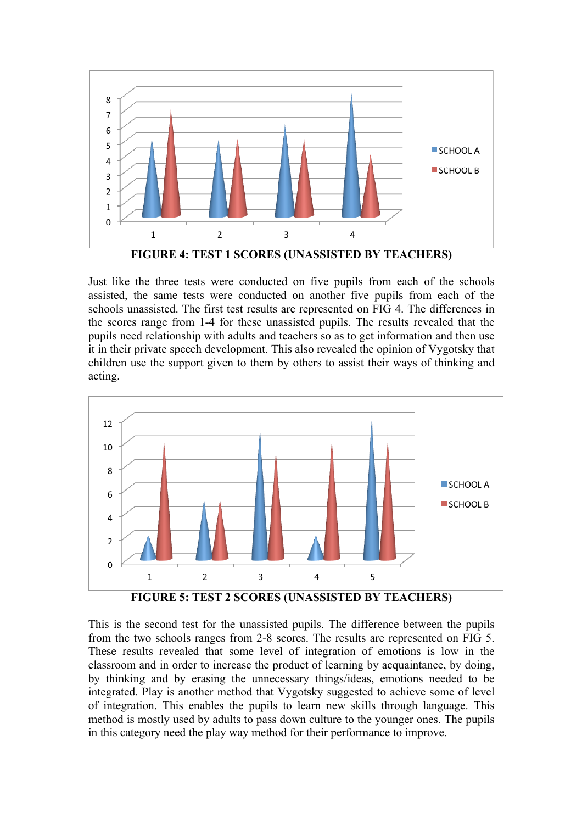

Just like the three tests were conducted on five pupils from each of the schools assisted, the same tests were conducted on another five pupils from each of the schools unassisted. The first test results are represented on FIG 4. The differences in the scores range from 1-4 for these unassisted pupils. The results revealed that the pupils need relationship with adults and teachers so as to get information and then use it in their private speech development. This also revealed the opinion of Vygotsky that children use the support given to them by others to assist their ways of thinking and acting.



**FIGURE 5: TEST 2 SCORES (UNASSISTED BY TEACHERS)**

This is the second test for the unassisted pupils. The difference between the pupils from the two schools ranges from 2-8 scores. The results are represented on FIG 5. These results revealed that some level of integration of emotions is low in the classroom and in order to increase the product of learning by acquaintance, by doing, by thinking and by erasing the unnecessary things/ideas, emotions needed to be integrated. Play is another method that Vygotsky suggested to achieve some of level of integration. This enables the pupils to learn new skills through language. This method is mostly used by adults to pass down culture to the younger ones. The pupils in this category need the play way method for their performance to improve.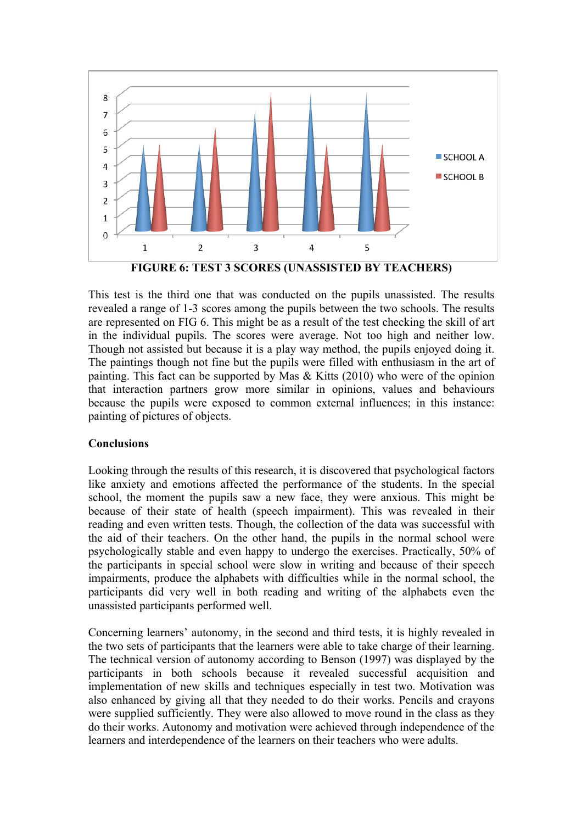

**FIGURE 6: TEST 3 SCORES (UNASSISTED BY TEACHERS)**

This test is the third one that was conducted on the pupils unassisted. The results revealed a range of 1-3 scores among the pupils between the two schools. The results are represented on FIG 6. This might be as a result of the test checking the skill of art in the individual pupils. The scores were average. Not too high and neither low. Though not assisted but because it is a play way method, the pupils enjoyed doing it. The paintings though not fine but the pupils were filled with enthusiasm in the art of painting. This fact can be supported by Mas  $\&$  Kitts (2010) who were of the opinion that interaction partners grow more similar in opinions, values and behaviours because the pupils were exposed to common external influences; in this instance: painting of pictures of objects.

# **Conclusions**

Looking through the results of this research, it is discovered that psychological factors like anxiety and emotions affected the performance of the students. In the special school, the moment the pupils saw a new face, they were anxious. This might be because of their state of health (speech impairment). This was revealed in their reading and even written tests. Though, the collection of the data was successful with the aid of their teachers. On the other hand, the pupils in the normal school were psychologically stable and even happy to undergo the exercises. Practically, 50% of the participants in special school were slow in writing and because of their speech impairments, produce the alphabets with difficulties while in the normal school, the participants did very well in both reading and writing of the alphabets even the unassisted participants performed well.

Concerning learners' autonomy, in the second and third tests, it is highly revealed in the two sets of participants that the learners were able to take charge of their learning. The technical version of autonomy according to Benson (1997) was displayed by the participants in both schools because it revealed successful acquisition and implementation of new skills and techniques especially in test two. Motivation was also enhanced by giving all that they needed to do their works. Pencils and crayons were supplied sufficiently. They were also allowed to move round in the class as they do their works. Autonomy and motivation were achieved through independence of the learners and interdependence of the learners on their teachers who were adults.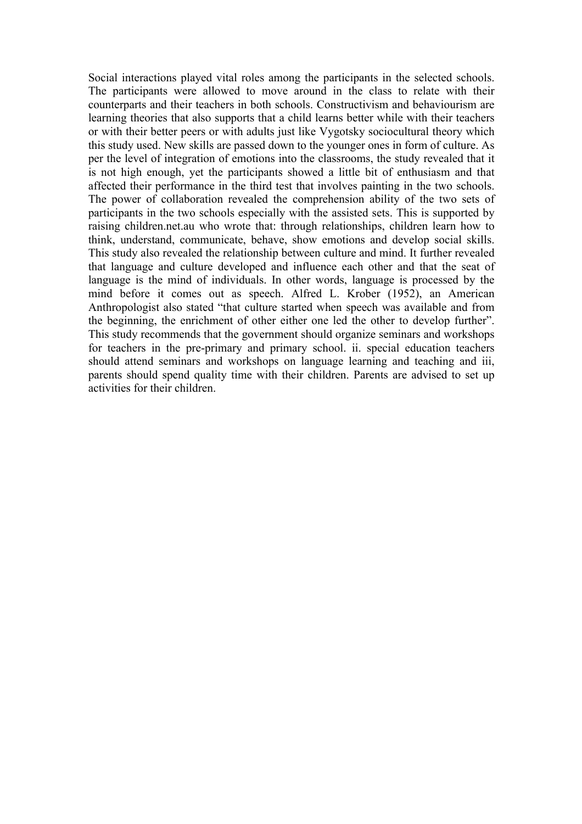Social interactions played vital roles among the participants in the selected schools. The participants were allowed to move around in the class to relate with their counterparts and their teachers in both schools. Constructivism and behaviourism are learning theories that also supports that a child learns better while with their teachers or with their better peers or with adults just like Vygotsky sociocultural theory which this study used. New skills are passed down to the younger ones in form of culture. As per the level of integration of emotions into the classrooms, the study revealed that it is not high enough, yet the participants showed a little bit of enthusiasm and that affected their performance in the third test that involves painting in the two schools. The power of collaboration revealed the comprehension ability of the two sets of participants in the two schools especially with the assisted sets. This is supported by raising children.net.au who wrote that: through relationships, children learn how to think, understand, communicate, behave, show emotions and develop social skills. This study also revealed the relationship between culture and mind. It further revealed that language and culture developed and influence each other and that the seat of language is the mind of individuals. In other words, language is processed by the mind before it comes out as speech. Alfred L. Krober (1952), an American Anthropologist also stated "that culture started when speech was available and from the beginning, the enrichment of other either one led the other to develop further". This study recommends that the government should organize seminars and workshops for teachers in the pre-primary and primary school. ii. special education teachers should attend seminars and workshops on language learning and teaching and iii, parents should spend quality time with their children. Parents are advised to set up activities for their children.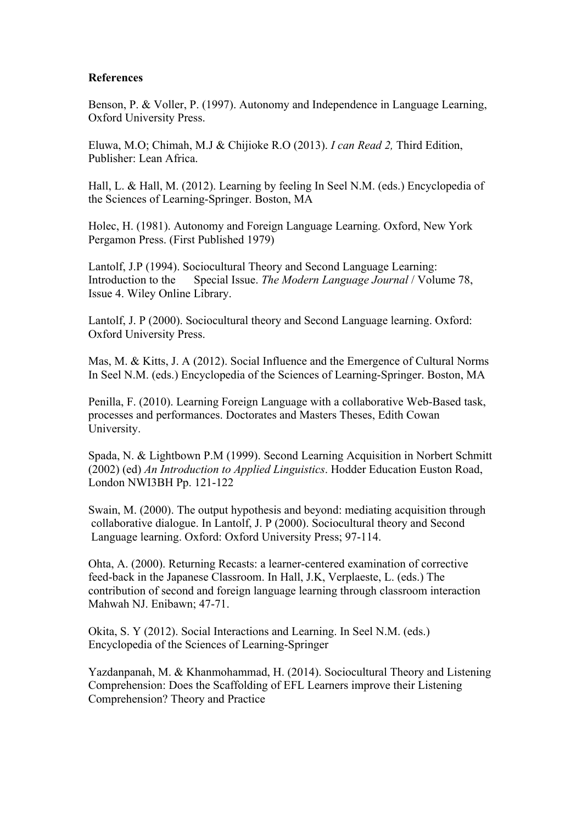## **References**

Benson, P. & Voller, P. (1997). Autonomy and Independence in Language Learning, Oxford University Press.

Eluwa, M.O; Chimah, M.J & Chijioke R.O (2013). *I can Read 2,* Third Edition, Publisher: Lean Africa.

Hall, L. & Hall, M. (2012). Learning by feeling In Seel N.M. (eds.) Encyclopedia of the Sciences of Learning-Springer. Boston, MA

Holec, H. (1981). Autonomy and Foreign Language Learning. Oxford, New York Pergamon Press. (First Published 1979)

Lantolf, J.P (1994). Sociocultural Theory and Second Language Learning: Introduction to the Special Issue. *The Modern Language Journal* / Volume 78, Issue 4. Wiley Online Library.

Lantolf, J. P (2000). Sociocultural theory and Second Language learning. Oxford: Oxford University Press.

Mas, M. & Kitts, J. A (2012). Social Influence and the Emergence of Cultural Norms In Seel N.M. (eds.) Encyclopedia of the Sciences of Learning-Springer. Boston, MA

Penilla, F. (2010). Learning Foreign Language with a collaborative Web-Based task, processes and performances. Doctorates and Masters Theses, Edith Cowan University.

Spada, N. & Lightbown P.M (1999). Second Learning Acquisition in Norbert Schmitt (2002) (ed) *An Introduction to Applied Linguistics*. Hodder Education Euston Road, London NWI3BH Pp. 121-122

Swain, M. (2000). The output hypothesis and beyond: mediating acquisition through collaborative dialogue. In Lantolf, J. P (2000). Sociocultural theory and Second Language learning. Oxford: Oxford University Press; 97-114.

Ohta, A. (2000). Returning Recasts: a learner-centered examination of corrective feed-back in the Japanese Classroom. In Hall, J.K, Verplaeste, L. (eds.) The contribution of second and foreign language learning through classroom interaction Mahwah NJ. Enibawn; 47-71.

Okita, S. Y (2012). Social Interactions and Learning. In Seel N.M. (eds.) Encyclopedia of the Sciences of Learning-Springer

Yazdanpanah, M. & Khanmohammad, H. (2014). Sociocultural Theory and Listening Comprehension: Does the Scaffolding of EFL Learners improve their Listening Comprehension? Theory and Practice